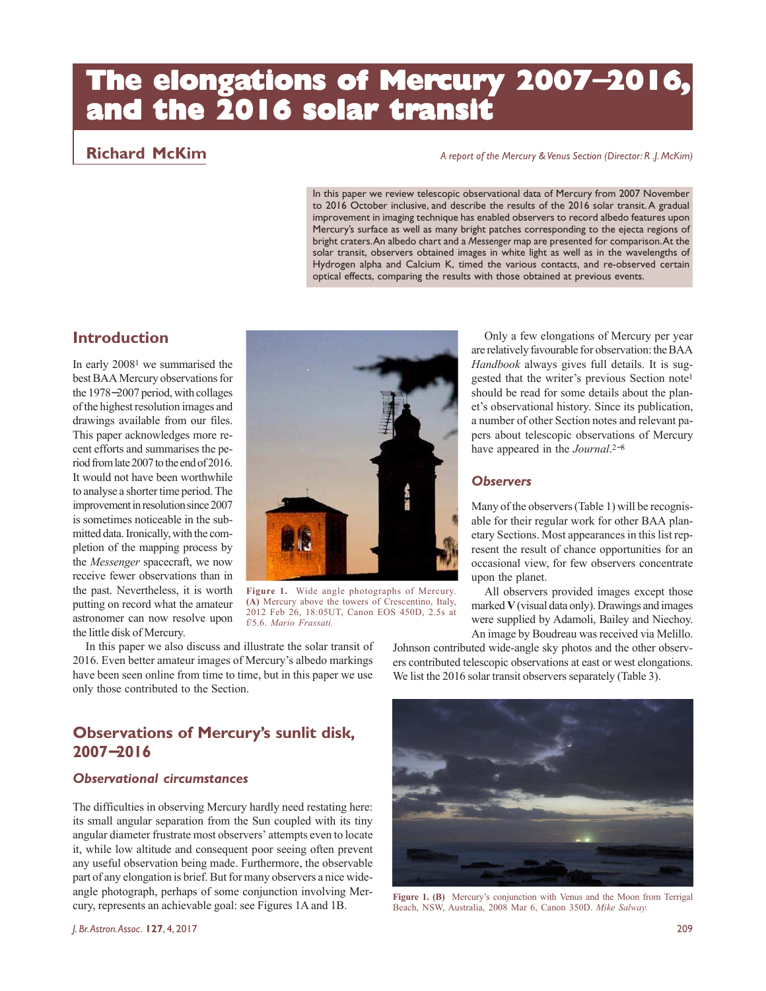# **The elongations of Mercury 2007**−**2016, and the 2016 solar transit**

# **Richard McKim** *A report of the Mercury & Venus Section (Director: R .J. McKim)*

In this paper we review telescopic observational data of Mercury from 2007 November to 2016 October inclusive, and describe the results of the 2016 solar transit. A gradual improvement in imaging technique has enabled observers to record albedo features upon Mercury's surface as well as many bright patches corresponding to the ejecta regions of bright craters. An albedo chart and a *Messenger* map are presented for comparison. At the solar transit, observers obtained images in white light as well as in the wavelengths of Hydrogen alpha and Calcium K, timed the various contacts, and re-observed certain optical effects, comparing the results with those obtained at previous events.

# **Introduction**

In early 20081 we summarised the best BAA Mercury observations for the 1978−2007 period, with collages of the highest resolution images and drawings available from our files. This paper acknowledges more recent efforts and summarises the period from late 2007 to the end of 2016. It would not have been worthwhile to analyse a shorter time period. The improvement in resolution since 2007 is sometimes noticeable in the submitted data. Ironically, with the completion of the mapping process by the *Messenger* spacecraft, we now receive fewer observations than in the past. Nevertheless, it is worth putting on record what the amateur astronomer can now resolve upon the little disk of Mercury.



**Figure 1.** Wide angle photographs of Mercury. **(A)** Mercury above the towers of Crescentino, Italy, 2012 Feb 26, 18:05UT, Canon EOS 450D, 2.5s at f/5.6. *Mario Frassati.*

Only a few elongations of Mercury per year are relatively favourable for observation: the BAA *Handbook* always gives full details. It is suggested that the writer's previous Section note<sup>1</sup> should be read for some details about the planet's observational history. Since its publication, a number of other Section notes and relevant papers about telescopic observations of Mercury have appeared in the *Journal*. 2−8

# *Observers*

Many of the observers (Table 1) will be recognisable for their regular work for other BAA planetary Sections. Most appearances in this list represent the result of chance opportunities for an occasional view, for few observers concentrate upon the planet.

All observers provided images except those marked **V** (visual data only). Drawings and images were supplied by Adamoli, Bailey and Niechoy. An image by Boudreau was received via Melillo.

In this paper we also discuss and illustrate the solar transit of 2016. Even better amateur images of Mercury's albedo markings have been seen online from time to time, but in this paper we use only those contributed to the Section.

# **Observations of Mercury's sunlit disk, 2007**−**2016**

# *Observational circumstances*

The difficulties in observing Mercury hardly need restating here: its small angular separation from the Sun coupled with its tiny angular diameter frustrate most observers' attempts even to locate it, while low altitude and consequent poor seeing often prevent any useful observation being made. Furthermore, the observable part of any elongation is brief. But for many observers a nice wideangle photograph, perhaps of some conjunction involving Mercury, represents an achievable goal: see Figures 1A and 1B.



Johnson contributed wide-angle sky photos and the other observers contributed telescopic observations at east or west elongations. We list the 2016 solar transit observers separately (Table 3).

Figure 1. (B) Mercury's conjunction with Venus and the Moon from Terrigal Beach, NSW, Australia, 2008 Mar 6, Canon 350D. *Mike Salway.*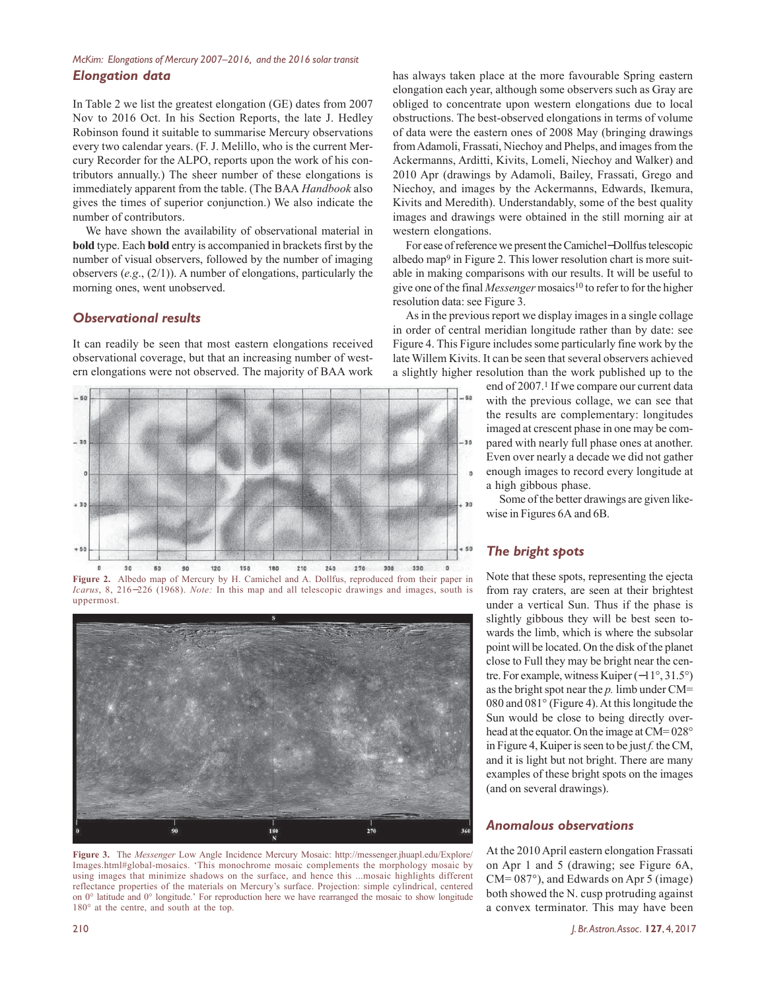### *McKim: Elongations of Mercury 2007–2016, and the 2016 solar transit Elongation data*

In Table 2 we list the greatest elongation (GE) dates from 2007 Nov to 2016 Oct. In his Section Reports, the late J. Hedley Robinson found it suitable to summarise Mercury observations every two calendar years. (F. J. Melillo, who is the current Mercury Recorder for the ALPO, reports upon the work of his contributors annually.) The sheer number of these elongations is immediately apparent from the table. (The BAA *Handbook* also gives the times of superior conjunction.) We also indicate the number of contributors.

We have shown the availability of observational material in **bold** type. Each **bold** entry is accompanied in brackets first by the number of visual observers, followed by the number of imaging observers (*e.g*., (2/1)). A number of elongations, particularly the morning ones, went unobserved.

# *Observational results*

It can readily be seen that most eastern elongations received observational coverage, but that an increasing number of western elongations were not observed. The majority of BAA work



**Figure 2.** Albedo map of Mercury by H. Camichel and A. Dollfus, reproduced from their paper in *Icarus*, 8, 216–226 (1968). *Note:* In this map and all telescopic drawings and images, south is uppermost.



**Figure 3.** The *Messenger* Low Angle Incidence Mercury Mosaic: http://messenger.jhuapl.edu/Explore/ Images.html#global-mosaics. 'This monochrome mosaic complements the morphology mosaic by using images that minimize shadows on the surface, and hence this ...mosaic highlights different reflectance properties of the materials on Mercury's surface. Projection: simple cylindrical, centered on 0° latitude and 0° longitude.' For reproduction here we have rearranged the mosaic to show longitude 180° at the centre, and south at the top.

has always taken place at the more favourable Spring eastern elongation each year, although some observers such as Gray are obliged to concentrate upon western elongations due to local obstructions. The best-observed elongations in terms of volume of data were the eastern ones of 2008 May (bringing drawings from Adamoli, Frassati, Niechoy and Phelps, and images from the Ackermanns, Arditti, Kivits, Lomeli, Niechoy and Walker) and 2010 Apr (drawings by Adamoli, Bailey, Frassati, Grego and Niechoy, and images by the Ackermanns, Edwards, Ikemura, Kivits and Meredith). Understandably, some of the best quality images and drawings were obtained in the still morning air at western elongations.

For ease of reference we present the Camichel−Dollfus telescopic albedo map9 in Figure 2. This lower resolution chart is more suitable in making comparisons with our results. It will be useful to give one of the final *Messenger* mosaics<sup>10</sup> to refer to for the higher resolution data: see Figure 3.

As in the previous report we display images in a single collage in order of central meridian longitude rather than by date: see Figure 4. This Figure includes some particularly fine work by the late Willem Kivits. It can be seen that several observers achieved a slightly higher resolution than the work published up to the

> end of 2007.<sup>1</sup> If we compare our current data with the previous collage, we can see that the results are complementary: longitudes imaged at crescent phase in one may be compared with nearly full phase ones at another. Even over nearly a decade we did not gather enough images to record every longitude at a high gibbous phase.

Some of the better drawings are given likewise in Figures 6A and 6B.

# *The bright spots*

Note that these spots, representing the ejecta from ray craters, are seen at their brightest under a vertical Sun. Thus if the phase is slightly gibbous they will be best seen towards the limb, which is where the subsolar point will be located. On the disk of the planet close to Full they may be bright near the centre. For example, witness Kuiper (−11°, 31.5°) as the bright spot near the *p.* limb under CM= 080 and 081° (Figure 4). At this longitude the Sun would be close to being directly overhead at the equator. On the image at CM= 028° in Figure 4, Kuiper is seen to be just *f.* the CM, and it is light but not bright. There are many examples of these bright spots on the images (and on several drawings).

# *Anomalous observations*

At the 2010 April eastern elongation Frassati on Apr 1 and 5 (drawing; see Figure 6A, CM= 087°), and Edwards on Apr 5 (image) both showed the N. cusp protruding against a convex terminator. This may have been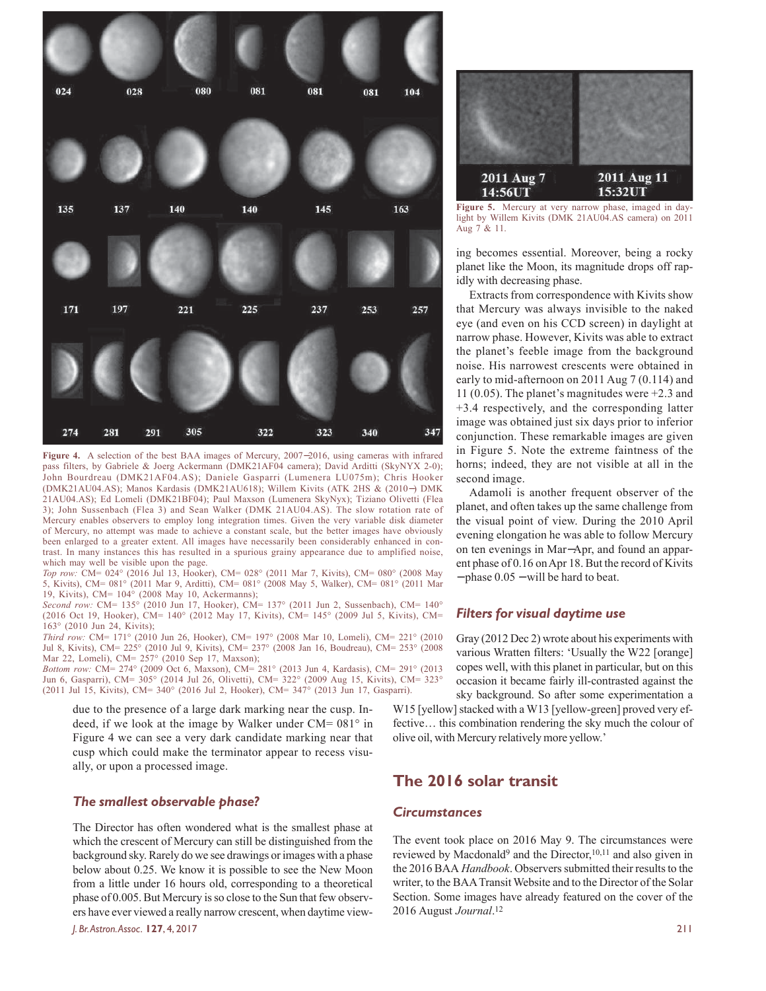

**Figure 4.** A selection of the best BAA images of Mercury, 2007−2016, using cameras with infrared pass filters, by Gabriele & Joerg Ackermann (DMK21AF04 camera); David Arditti (SkyNYX 2-0); John Bourdreau (DMK21AF04.AS); Daniele Gasparri (Lumenera LU075m); Chris Hooker (DMK21AU04.AS); Manos Kardasis (DMK21AU618); Willem Kivits (ATK 2HS & (2010−) DMK 21AU04.AS); Ed Lomeli (DMK21BF04); Paul Maxson (Lumenera SkyNyx); Tiziano Olivetti (Flea 3); John Sussenbach (Flea 3) and Sean Walker (DMK 21AU04.AS). The slow rotation rate of Mercury enables observers to employ long integration times. Given the very variable disk diameter of Mercury, no attempt was made to achieve a constant scale, but the better images have obviously been enlarged to a greater extent. All images have necessarily been considerably enhanced in contrast. In many instances this has resulted in a spurious grainy appearance due to amplified noise, which may well be visible upon the page.

*Top row:* CM= 024° (2016 Jul 13, Hooker), CM= 028° (2011 Mar 7, Kivits), CM= 080° (2008 May 5, Kivits), CM= 081° (2011 Mar 9, Arditti), CM= 081° (2008 May 5, Walker), CM= 081° (2011 Mar 19, Kivits), CM= 104° (2008 May 10, Ackermanns);

*Second row:* CM= 135° (2010 Jun 17, Hooker), CM= 137° (2011 Jun 2, Sussenbach), CM= 140° (2016 Oct 19, Hooker), CM= 140° (2012 May 17, Kivits), CM= 145° (2009 Jul 5, Kivits), CM= 163° (2010 Jun 24, Kivits);

*Third row:* CM= 171° (2010 Jun 26, Hooker), CM= 197° (2008 Mar 10, Lomeli), CM= 221° (2010 Jul 8, Kivits), CM= 225° (2010 Jul 9, Kivits), CM= 237° (2008 Jan 16, Boudreau), CM= 253° (2008 Mar 22, Lomeli), CM= 257° (2010 Sep 17, Maxson);

*Bottom row:* CM= 274° (2009 Oct 6, Maxson), CM= 281° (2013 Jun 4, Kardasis), CM= 291° (2013 Jun 6, Gasparri), CM= 305° (2014 Jul 26, Olivetti), CM= 322° (2009 Aug 15, Kivits), CM= 323° (2011 Jul 15, Kivits), CM= 340° (2016 Jul 2, Hooker), CM= 347° (2013 Jun 17, Gasparri).

due to the presence of a large dark marking near the cusp. Indeed, if we look at the image by Walker under  $CM = 081^\circ$  in Figure 4 we can see a very dark candidate marking near that cusp which could make the terminator appear to recess visually, or upon a processed image.

#### *The smallest observable phase?*

The Director has often wondered what is the smallest phase at which the crescent of Mercury can still be distinguished from the background sky. Rarely do we see drawings or images with a phase below about 0.25. We know it is possible to see the New Moon from a little under 16 hours old, corresponding to a theoretical phase of 0.005. But Mercury is so close to the Sun that few observers have ever viewed a really narrow crescent, when daytime view-

*J. Br. Astron. Assoc.* **127**, 4, 2017 211



**Figure 5.** Mercury at very narrow phase, imaged in daylight by Willem Kivits (DMK 21AU04.AS camera) on 2011 Aug 7 & 11.

ing becomes essential. Moreover, being a rocky planet like the Moon, its magnitude drops off rapidly with decreasing phase.

Extracts from correspondence with Kivits show that Mercury was always invisible to the naked eye (and even on his CCD screen) in daylight at narrow phase. However, Kivits was able to extract the planet's feeble image from the background noise. His narrowest crescents were obtained in early to mid-afternoon on 2011 Aug 7 (0.114) and 11 (0.05). The planet's magnitudes were +2.3 and +3.4 respectively, and the corresponding latter image was obtained just six days prior to inferior conjunction. These remarkable images are given in Figure 5. Note the extreme faintness of the horns; indeed, they are not visible at all in the second image.

Adamoli is another frequent observer of the planet, and often takes up the same challenge from the visual point of view. During the 2010 April evening elongation he was able to follow Mercury on ten evenings in Mar−Apr, and found an apparent phase of 0.16 on Apr 18. But the record of Kivits − phase 0.05 − will be hard to beat.

#### *Filters for visual daytime use*

Gray (2012 Dec 2) wrote about his experiments with various Wratten filters: 'Usually the W22 [orange] copes well, with this planet in particular, but on this occasion it became fairly ill-contrasted against the sky background. So after some experimentation a

W15 [yellow] stacked with a W13 [yellow-green] proved very effective… this combination rendering the sky much the colour of olive oil, with Mercury relatively more yellow.'

# **The 2016 solar transit**

### *Circumstances*

The event took place on 2016 May 9. The circumstances were reviewed by Macdonald<sup>9</sup> and the Director,<sup>10,11</sup> and also given in the 2016 BAA *Handbook*. Observers submitted their results to the writer, to the BAA Transit Website and to the Director of the Solar Section. Some images have already featured on the cover of the 2016 August *Journal*. 12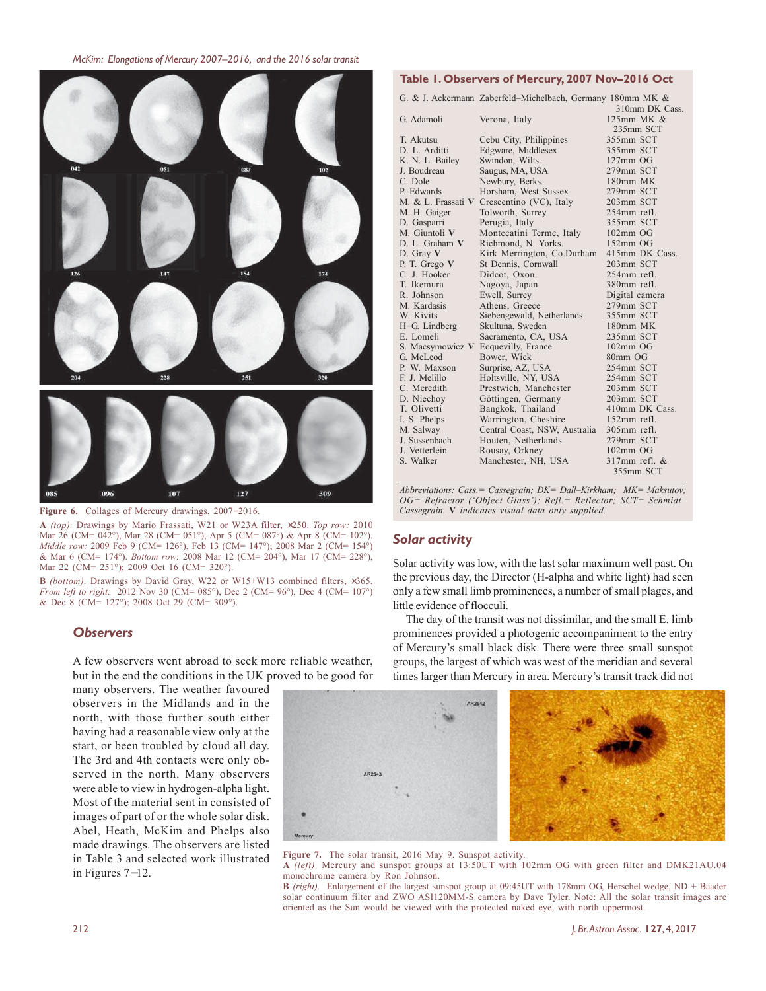





**A** *(top).* Drawings by Mario Frassati, W21 or W23A filter, ×250. *Top row:* 2010 Mar 26 (CM= 042°), Mar 28 (CM= 051°), Apr 5 (CM= 087°) & Apr 8 (CM= 102°). *Middle row:* 2009 Feb 9 (CM= 126°), Feb 13 (CM= 147°); 2008 Mar 2 (CM= 154°) & Mar 6 (CM= 174°). *Bottom row:* 2008 Mar 12 (CM= 204°), Mar 17 (CM= 228°), Mar 22 (CM= 251°); 2009 Oct 16 (CM= 320°).

**B** *(bottom).* Drawings by David Gray, W22 or W15+W13 combined filters, ×365. *From left to right:* 2012 Nov 30 (CM= 085°), Dec 2 (CM= 96°), Dec 4 (CM= 107°) & Dec 8 (CM= 127°); 2008 Oct 29 (CM= 309°).

#### *Observers*

A few observers went abroad to seek more reliable weather, but in the end the conditions in the UK proved to be good for

many observers. The weather favoured observers in the Midlands and in the north, with those further south either having had a reasonable view only at the start, or been troubled by cloud all day. The 3rd and 4th contacts were only observed in the north. Many observers were able to view in hydrogen-alpha light. Most of the material sent in consisted of images of part of or the whole solar disk. Abel, Heath, McKim and Phelps also made drawings. The observers are listed in Table 3 and selected work illustrated in Figures 7−12.

# **Table 1. Observers of Mercury, 2007 Nov–2016 Oct**

G. & J. Ackermann Zaberfeld–Michelbach, Germany 180mm MK &

|                    |                               | 310mm DK Cass.     |  |
|--------------------|-------------------------------|--------------------|--|
| G. Adamoli         | Verona, Italy                 | 125mm MK &         |  |
|                    |                               | 235mm SCT          |  |
| T. Akutsu          | Cebu City, Philippines        | 355mm SCT          |  |
| D. L. Arditti      | Edgware, Middlesex            | 355mm SCT          |  |
| K. N. L. Bailey    | Swindon, Wilts.               | $127$ mm OG        |  |
| J. Boudreau        | Saugus, MA, USA               | 279mm SCT          |  |
| C. Dole            | Newbury, Berks.               | 180mm MK           |  |
| P. Edwards         | Horsham, West Sussex          | 279mm SCT          |  |
| M. & L. Frassati V | Crescentino (VC), Italy       | 203mm SCT          |  |
| M. H. Gaiger       | Tolworth, Surrey              | 254mm refl.        |  |
| D. Gasparri        | Perugia, Italy                | 355mm SCT          |  |
| M. Giuntoli V      | Montecatini Terme, Italy      | $102mm$ OG         |  |
| D. L. Graham V     | Richmond, N. Yorks.           | $152mm$ OG         |  |
| D. Gray $V$        | Kirk Merrington, Co.Durham    | 415mm DK Cass.     |  |
| P. T. Grego V      | St Dennis, Cornwall           | 203mm SCT          |  |
| C. J. Hooker       | Didcot, Oxon.                 | 254mm refl.        |  |
| T. Ikemura         | Nagoya, Japan                 | 380mm refl.        |  |
| R. Johnson         | Ewell, Surrey                 | Digital camera     |  |
| M. Kardasis        | Athens, Greece                | 279mm SCT          |  |
| W. Kivits          | Siebengewald, Netherlands     | 355mm SCT          |  |
| H-G. Lindberg      | Skultuna, Sweden              | 180mm MK           |  |
| E. Lomeli          | Sacramento, CA, USA           | 235mm SCT          |  |
| S. Macsymowicz V   | Ecquevilly, France            | $102mm$ OG         |  |
| G. McLeod          | Bower, Wick                   | 80mm OG            |  |
| P. W. Maxson       | Surprise, AZ, USA             | 254mm SCT          |  |
| F. J. Melillo      | Holtsville, NY, USA           | 254mm SCT          |  |
| C. Meredith        | Prestwich, Manchester         | 203mm SCT          |  |
| D. Niechov         | Göttingen, Germany            | 203mm SCT          |  |
| T. Olivetti        | Bangkok, Thailand             | 410mm DK Cass.     |  |
| I. S. Phelps       | Warrington, Cheshire          | $152$ mm refl.     |  |
| M. Salway          | Central Coast, NSW, Australia | 305mm refl.        |  |
| J. Sussenbach      | Houten, Netherlands           | 279mm SCT          |  |
| J. Vetterlein      | Rousay, Orkney                | $102mm$ OG         |  |
| S. Walker          | Manchester, NH, USA           | $317$ mm refl. $&$ |  |
|                    |                               | 355mm SCT          |  |

*Abbreviations: Cass.= Cassegrain; DK= Dall–Kirkham; MK= Maksutov; OG= Refractor ('Object Glass'); Refl.= Reflector; SCT= Schmidt– Cassegrain.* **V** *indicates visual data only supplied.*

#### *Solar activity*

Solar activity was low, with the last solar maximum well past. On the previous day, the Director (H-alpha and white light) had seen only a few small limb prominences, a number of small plages, and little evidence of flocculi.

The day of the transit was not dissimilar, and the small E. limb prominences provided a photogenic accompaniment to the entry of Mercury's small black disk. There were three small sunspot groups, the largest of which was west of the meridian and several times larger than Mercury in area. Mercury's transit track did not

AR2547 AR254

**Figure 7.** The solar transit, 2016 May 9. Sunspot activity. **A** *(left).* Mercury and sunspot groups at 13:50UT with 102mm OG with green filter and DMK21AU.04

monochrome camera by Ron Johnson. **B** *(right).* Enlargement of the largest sunspot group at 09:45UT with 178mm OG, Herschel wedge, ND + Baader solar continuum filter and ZWO ASI120MM-S camera by Dave Tyler. Note: All the solar transit images are oriented as the Sun would be viewed with the protected naked eye, with north uppermost.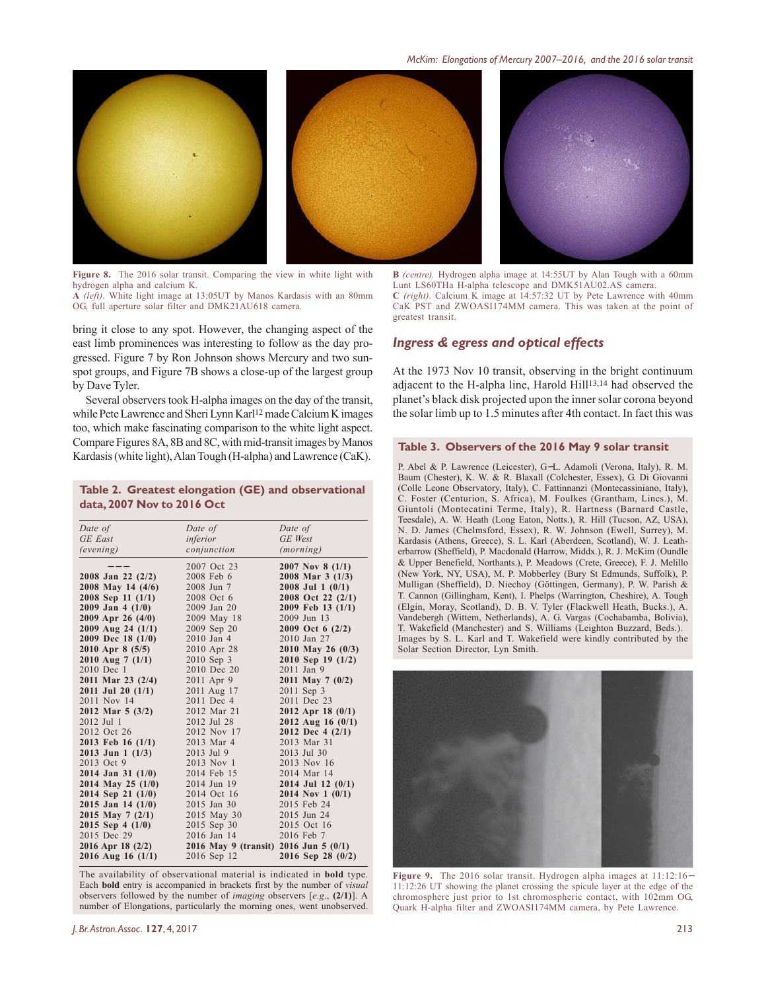

**Figure 8.** The 2016 solar transit. Comparing the view in white light with hydrogen alpha and calcium K. **A** *(left).* White light image at 13:05UT by Manos Kardasis with an 80mm OG, full aperture solar filter and DMK21AU618 camera.

bring it close to any spot. However, the changing aspect of the east limb prominences was interesting to follow as the day progressed. Figure 7 by Ron Johnson shows Mercury and two sunspot groups, and Figure 7B shows a close-up of the largest group by Dave Tyler.

Several observers took H-alpha images on the day of the transit, while Pete Lawrence and Sheri Lynn Karl<sup>12</sup> made Calcium K images too, which make fascinating comparison to the white light aspect. Compare Figures 8A, 8B and 8C, with mid-transit images by Manos Kardasis (white light), Alan Tough (H-alpha) and Lawrence (CaK).

#### **Table 2. Greatest elongation (GE) and observational data, 2007 Nov to 2016 Oct**

| Date of               | Date of                                 | Date of               |  |
|-----------------------|-----------------------------------------|-----------------------|--|
| <b>GE</b> East        | inferior                                | GE West               |  |
| (evening)             | conjunction                             | (morning)             |  |
|                       | 2007 Oct 23                             | 2007 Nov 8 $(1/1)$    |  |
| $2008$ Jan 22 $(2/2)$ | 2008 Feb 6                              | 2008 Mar $3(1/3)$     |  |
| 2008 May 14 (4/6)     | 2008 Jun 7                              | $2008$ Jul 1 $(0/1)$  |  |
| 2008 Sep 11 (1/1)     | 2008 Oct 6                              | 2008 Oct 22 (2/1)     |  |
| $2009$ Jan 4 $(1/0)$  | 2009 Jan 20                             | 2009 Feb 13 (1/1)     |  |
| 2009 Apr 26 $(4/0)$   | 2009 May 18                             | 2009 Jun 13           |  |
| 2009 Aug 24 (1/1)     | 2009 Sep 20                             | 2009 Oct 6 (2/2)      |  |
| 2009 Dec 18 (1/0)     | 2010 Jan 4                              | 2010 Jan 27           |  |
| $2010$ Apr 8 (5/5)    | 2010 Apr 28                             | 2010 May 26 (0/3)     |  |
| $2010$ Aug 7 $(1/1)$  | 2010 Sep 3                              | 2010 Sep 19 (1/2)     |  |
| 2010 Dec 1            | 2010 Dec 20                             | 2011 Jan 9            |  |
| 2011 Mar 23 (2/4)     | 2011 Apr 9                              | 2011 May 7 (0/2)      |  |
| $2011$ Jul 20 $(1/1)$ | 2011 Aug 17                             | 2011 Sep 3            |  |
| 2011 Nov 14           | 2011 Dec 4                              | 2011 Dec 23           |  |
| 2012 Mar $5(3/2)$     | 2012 Mar 21                             | 2012 Apr 18 $(0/1)$   |  |
| 2012 Jul 1            | 2012 Jul 28                             | 2012 Aug 16 $(0/1)$   |  |
| 2012 Oct 26           | 2012 Nov 17                             | 2012 Dec 4 (2/1)      |  |
| 2013 Feb 16 (1/1)     | 2013 Mar 4                              | 2013 Mar 31           |  |
| $2013$ Jun 1 $(1/3)$  | 2013 Jul 9                              | 2013 Jul 30           |  |
| 2013 Oct 9            | 2013 Nov 1                              | 2013 Nov 16           |  |
| $2014$ Jan 31 $(1/0)$ | 2014 Feb 15                             | 2014 Mar 14           |  |
| 2014 May 25 (1/0)     | 2014 Jun 19                             | $2014$ Jul 12 $(0/1)$ |  |
| 2014 Sep 21 (1/0)     | 2014 Oct 16                             | 2014 Nov 1 $(0/1)$    |  |
| $2015$ Jan 14 $(1/0)$ | 2015 Jan 30                             | 2015 Feb 24           |  |
| 2015 May 7 $(2/1)$    | 2015 May 30                             | 2015 Jun 24           |  |
| $2015$ Sep 4 $(1/0)$  | 2015 Sep 30                             | 2015 Oct 16           |  |
| 2015 Dec 29           | 2016 Jan 14                             | 2016 Feb 7            |  |
| 2016 Apr 18 $(2/2)$   | 2016 May 9 (transit) 2016 Jun 5 $(0/1)$ |                       |  |
| $2016$ Aug 16 (1/1)   | 2016 Sep 12                             | 2016 Sep 28 (0/2)     |  |

The availability of observational material is indicated in **bold** type. Each **bold** entry is accompanied in brackets first by the number of *visual* observers followed by the number of *imaging* observers [*e.g*., **(2/1)**]. A number of Elongations, particularly the morning ones, went unobserved.



Lunt LS60THa H-alpha telescope and DMK51AU02.AS camera. **C** (right). Calcium  $\hat{K}$  image at 14:57:32 UT by Pete Lawrence with 40mm CaK PST and ZWOASI174MM camera. This was taken at the point of greatest transit.

#### *Ingress & egress and optical effects*

At the 1973 Nov 10 transit, observing in the bright continuum adjacent to the H-alpha line, Harold Hill13,14 had observed the planet's black disk projected upon the inner solar corona beyond the solar limb up to 1.5 minutes after 4th contact. In fact this was

#### **Table 3. Observers of the 2016 May 9 solar transit**

P. Abel & P. Lawrence (Leicester), G−L. Adamoli (Verona, Italy), R. M. Baum (Chester), K. W. & R. Blaxall (Colchester, Essex), G. Di Giovanni (Colle Leone Observatory, Italy), C. Fattinnanzi (Montecassiniano, Italy), C. Foster (Centurion, S. Africa), M. Foulkes (Grantham, Lincs.), M. Giuntoli (Montecatini Terme, Italy), R. Hartness (Barnard Castle, Teesdale), A. W. Heath (Long Eaton, Notts.), R. Hill (Tucson, AZ, USA), N. D. James (Chelmsford, Essex), R. W. Johnson (Ewell, Surrey), M. Kardasis (Athens, Greece), S. L. Karl (Aberdeen, Scotland), W. J. Leatherbarrow (Sheffield), P. Macdonald (Harrow, Middx.), R. J. McKim (Oundle & Upper Benefield, Northants.), P. Meadows (Crete, Greece), F. J. Melillo (New York, NY, USA), M. P. Mobberley (Bury St Edmunds, Suffolk), P. Mulligan (Sheffield), D. Niechoy (Göttingen, Germany), P. W. Parish & T. Cannon (Gillingham, Kent), I. Phelps (Warrington, Cheshire), A. Tough (Elgin, Moray, Scotland), D. B. V. Tyler (Flackwell Heath, Bucks.), A. Vandebergh (Wittem, Netherlands), A. G. Vargas (Cochabamba, Bolivia), T. Wakefield (Manchester) and S. Williams (Leighton Buzzard, Beds.). Images by S. L. Karl and T. Wakefield were kindly contributed by the Solar Section Director, Lyn Smith.



**Figure 9.** The 2016 solar transit. Hydrogen alpha images at 11:12:16− 11:12:26 UT showing the planet crossing the spicule layer at the edge of the chromosphere just prior to 1st chromospheric contact, with 102mm OG, Quark H-alpha filter and ZWOASI174MM camera, by Pete Lawrence.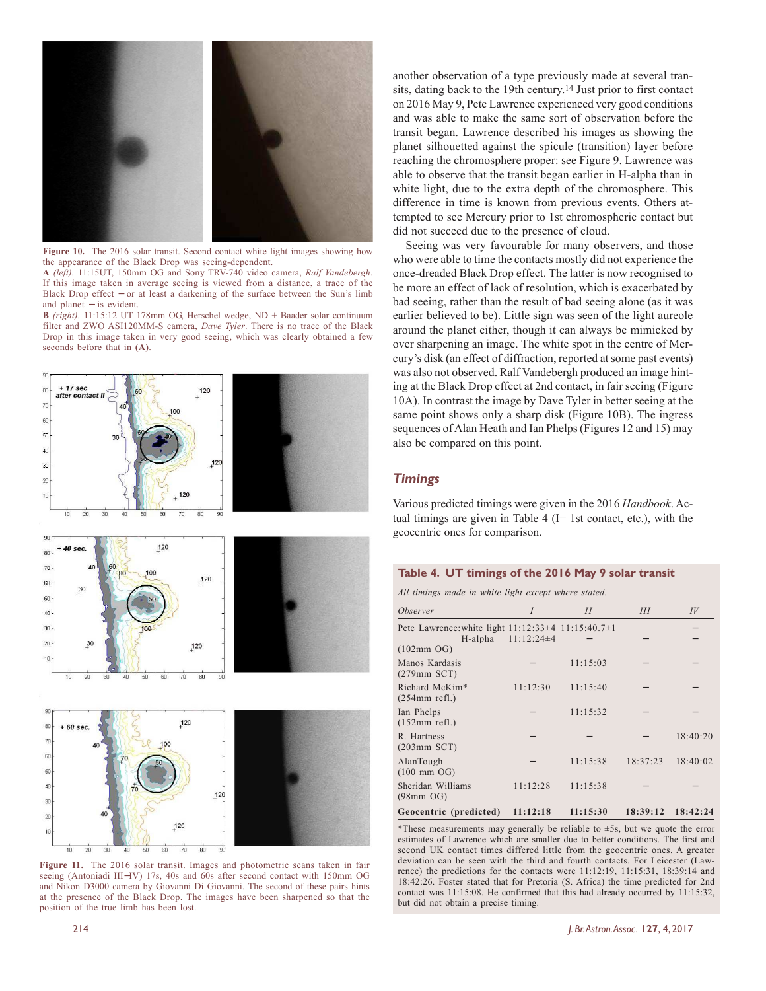

**Figure 10.** The 2016 solar transit. Second contact white light images showing how the appearance of the Black Drop was seeing-dependent.

**A** *(left).* 11:15UT, 150mm OG and Sony TRV-740 video camera, *Ralf Vandebergh*. If this image taken in average seeing is viewed from a distance, a trace of the Black Drop effect – or at least a darkening of the surface between the Sun's limb and planet – is evident.

**B** *(right).* 11:15:12 UT 178mm OG, Herschel wedge, ND + Baader solar continuum filter and ZWO ASI120MM-S camera, *Dave Tyler*. There is no trace of the Black Drop in this image taken in very good seeing, which was clearly obtained a few seconds before that in **(A)**.



Figure 11. The 2016 solar transit. Images and photometric scans taken in fair seeing (Antoniadi III–IV) 17s, 40s and 60s after second contact with 150mm OG and Nikon D3000 camera by Giovanni Di Giovanni. The second of these pairs hints at the presence of the Black Drop. The images have been sharpened so that the position of the true limb has been lost.

another observation of a type previously made at several transits, dating back to the 19th century.<sup>14</sup> Just prior to first contact on 2016 May 9, Pete Lawrence experienced very good conditions and was able to make the same sort of observation before the transit began. Lawrence described his images as showing the planet silhouetted against the spicule (transition) layer before reaching the chromosphere proper: see Figure 9. Lawrence was able to observe that the transit began earlier in H-alpha than in white light, due to the extra depth of the chromosphere. This difference in time is known from previous events. Others attempted to see Mercury prior to 1st chromospheric contact but did not succeed due to the presence of cloud.

Seeing was very favourable for many observers, and those who were able to time the contacts mostly did not experience the once-dreaded Black Drop effect. The latter is now recognised to be more an effect of lack of resolution, which is exacerbated by bad seeing, rather than the result of bad seeing alone (as it was earlier believed to be). Little sign was seen of the light aureole around the planet either, though it can always be mimicked by over sharpening an image. The white spot in the centre of Mercury's disk (an effect of diffraction, reported at some past events) was also not observed. Ralf Vandebergh produced an image hinting at the Black Drop effect at 2nd contact, in fair seeing (Figure 10A). In contrast the image by Dave Tyler in better seeing at the same point shows only a sharp disk (Figure 10B). The ingress sequences of Alan Heath and Ian Phelps (Figures 12 and 15) may also be compared on this point.

### *Timings*

Various predicted timings were given in the 2016 *Handbook*. Actual timings are given in Table 4 ( $I= 1$ st contact, etc.), with the geocentric ones for comparison.

#### **Table 4. UT timings of the 2016 May 9 solar transit**

*All timings made in white light except where stated.*

| <i><b>Observer</b></i>                             | I              | II       | III      | $I\!V$   |
|----------------------------------------------------|----------------|----------|----------|----------|
|                                                    |                |          |          |          |
| Pete Lawrence: white light 11:12:33±4 11:15:40.7±1 |                |          |          |          |
| H-alpha<br>$(102mm \text{ OG})$                    | $11:12:24\pm4$ |          |          |          |
| Manos Kardasis<br>$(279mm$ SCT)                    |                | 11:15:03 |          |          |
| Richard McKim*<br>$(254mm$ refl.)                  | 11:12:30       | 11:15:40 |          |          |
| Ian Phelps<br>$(152mm$ refl.)                      |                | 11:15:32 |          |          |
| R. Hartness<br>$(203mm$ SCT $)$                    |                |          |          | 18:40:20 |
| AlanTough<br>$(100 \; \text{mm} \; \text{OG})$     |                | 11:15:38 | 18:37:23 | 18:40:02 |
| Sheridan Williams<br>$(98mm \text{ OG})$           | 11:12:28       | 11:15:38 |          |          |
| Geocentric (predicted)                             | 11:12:18       | 11:15:30 | 18:39:12 | 18:42:24 |

\*These measurements may generally be reliable to  $\pm$ 5s, but we quote the error estimates of Lawrence which are smaller due to better conditions. The first and second UK contact times differed little from the geocentric ones. A greater deviation can be seen with the third and fourth contacts. For Leicester (Lawrence) the predictions for the contacts were 11:12:19, 11:15:31, 18:39:14 and 18:42:26. Foster stated that for Pretoria (S. Africa) the time predicted for 2nd contact was 11:15:08. He confirmed that this had already occurred by 11:15:32, but did not obtain a precise timing.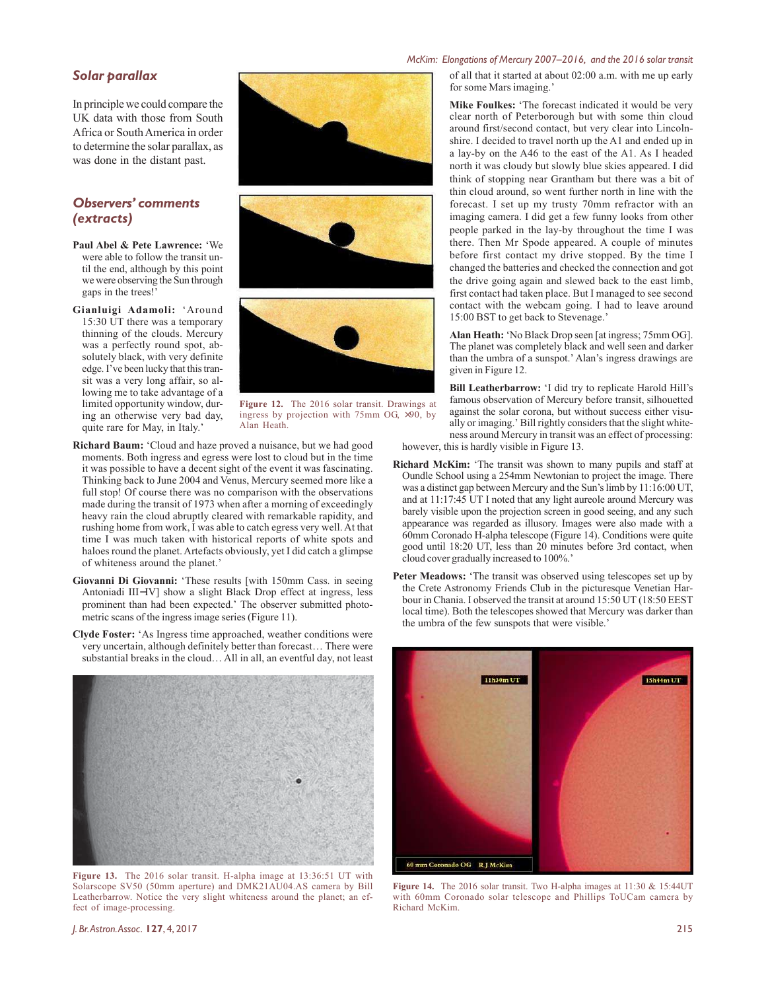#### *Solar parallax*

In principle we could compare the UK data with those from South Africa or South America in order to determine the solar parallax, as was done in the distant past.

# *Observers' comments (extracts)*

- **Paul Abel & Pete Lawrence:** 'We were able to follow the transit until the end, although by this point we were observing the Sun through gaps in the trees!'
- **Gianluigi Adamoli:** 'Around 15:30 UT there was a temporary thinning of the clouds. Mercury was a perfectly round spot, absolutely black, with very definite edge. I've been lucky that this transit was a very long affair, so allowing me to take advantage of a limited opportunity window, during an otherwise very bad day, quite rare for May, in Italy.'



**Figure 12.** The 2016 solar transit. Drawings at ingress by projection with 75mm OG, ×90, by Alan Heath.

- **Richard Baum:** 'Cloud and haze proved a nuisance, but we had good moments. Both ingress and egress were lost to cloud but in the time it was possible to have a decent sight of the event it was fascinating. Thinking back to June 2004 and Venus, Mercury seemed more like a full stop! Of course there was no comparison with the observations made during the transit of 1973 when after a morning of exceedingly heavy rain the cloud abruptly cleared with remarkable rapidity, and rushing home from work, I was able to catch egress very well. At that time I was much taken with historical reports of white spots and haloes round the planet. Artefacts obviously, yet I did catch a glimpse of whiteness around the planet.'
- **Giovanni Di Giovanni:** 'These results [with 150mm Cass. in seeing Antoniadi III−IV] show a slight Black Drop effect at ingress, less prominent than had been expected.' The observer submitted photometric scans of the ingress image series (Figure 11).
- **Clyde Foster:** 'As Ingress time approached, weather conditions were very uncertain, although definitely better than forecast… There were substantial breaks in the cloud… All in all, an eventful day, not least



**Figure 13.** The 2016 solar transit. H-alpha image at 13:36:51 UT with Solarscope SV50 (50mm aperture) and DMK21AU04.AS camera by Bill Leatherbarrow. Notice the very slight whiteness around the planet; an effect of image-processing.

#### *McKim: Elongations of Mercury 2007–2016, and the 2016 solar transit*

of all that it started at about 02:00 a.m. with me up early for some Mars imaging.'

**Mike Foulkes:** 'The forecast indicated it would be very clear north of Peterborough but with some thin cloud around first/second contact, but very clear into Lincolnshire. I decided to travel north up the A1 and ended up in a lay-by on the A46 to the east of the A1. As I headed north it was cloudy but slowly blue skies appeared. I did think of stopping near Grantham but there was a bit of thin cloud around, so went further north in line with the forecast. I set up my trusty 70mm refractor with an imaging camera. I did get a few funny looks from other people parked in the lay-by throughout the time I was there. Then Mr Spode appeared. A couple of minutes before first contact my drive stopped. By the time I changed the batteries and checked the connection and got the drive going again and slewed back to the east limb, first contact had taken place. But I managed to see second contact with the webcam going. I had to leave around 15:00 BST to get back to Stevenage.'

**Alan Heath:** 'No Black Drop seen [at ingress; 75mm OG]. The planet was completely black and well seen and darker than the umbra of a sunspot.' Alan's ingress drawings are given in Figure 12.

**Bill Leatherbarrow:** 'I did try to replicate Harold Hill's famous observation of Mercury before transit, silhouetted against the solar corona, but without success either visually or imaging.' Bill rightly considers that the slight whiteness around Mercury in transit was an effect of processing: however, this is hardly visible in Figure 13.

- **Richard McKim:** 'The transit was shown to many pupils and staff at Oundle School using a 254mm Newtonian to project the image. There was a distinct gap between Mercury and the Sun's limb by 11:16:00 UT, and at 11:17:45 UT I noted that any light aureole around Mercury was barely visible upon the projection screen in good seeing, and any such appearance was regarded as illusory. Images were also made with a 60mm Coronado H-alpha telescope (Figure 14). Conditions were quite good until 18:20 UT, less than 20 minutes before 3rd contact, when cloud cover gradually increased to 100%.'
- Peter Meadows: 'The transit was observed using telescopes set up by the Crete Astronomy Friends Club in the picturesque Venetian Harbour in Chania. I observed the transit at around 15:50 UT (18:50 EEST local time). Both the telescopes showed that Mercury was darker than the umbra of the few sunspots that were visible.'



Figure 14. The 2016 solar transit. Two H-alpha images at 11:30 & 15:44UT with 60mm Coronado solar telescope and Phillips ToUCam camera by Richard McKim.